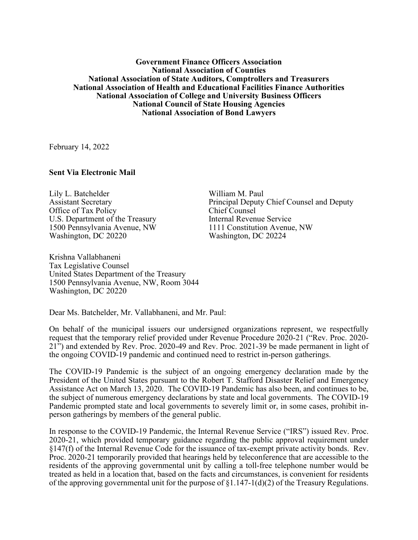## **Government Finance Officers Association National Association of Counties National Association of State Auditors, Comptrollers and Treasurers National Association of Health and Educational Facilities Finance Authorities National Association of College and University Business Officers National Council of State Housing Agencies National Association of Bond Lawyers**

February 14, 2022

## **Sent Via Electronic Mail**

Lily L. Batchelder Assistant Secretary Office of Tax Policy U.S. Department of the Treasury 1500 Pennsylvania Avenue, NW Washington, DC 20220

Krishna Vallabhaneni Tax Legislative Counsel United States Department of the Treasury 1500 Pennsylvania Avenue, NW, Room 3044 Washington, DC 20220

William M. Paul Principal Deputy Chief Counsel and Deputy Chief Counsel Internal Revenue Service 1111 Constitution Avenue, NW Washington, DC 20224

Dear Ms. Batchelder, Mr. Vallabhaneni, and Mr. Paul:

On behalf of the municipal issuers our undersigned organizations represent, we respectfully request that the temporary relief provided under Revenue Procedure 2020-21 ("Rev. Proc. 2020- 21") and extended by Rev. Proc. 2020-49 and Rev. Proc. 2021-39 be made permanent in light of the ongoing COVID-19 pandemic and continued need to restrict in-person gatherings.

The COVID-19 Pandemic is the subject of an ongoing emergency declaration made by the President of the United States pursuant to the Robert T. Stafford Disaster Relief and Emergency Assistance Act on March 13, 2020. The COVID-19 Pandemic has also been, and continues to be, the subject of numerous emergency declarations by state and local governments. The COVID-19 Pandemic prompted state and local governments to severely limit or, in some cases, prohibit inperson gatherings by members of the general public.

In response to the COVID-19 Pandemic, the Internal Revenue Service ("IRS") issued Rev. Proc. 2020-21, which provided temporary guidance regarding the public approval requirement under §147(f) of the Internal Revenue Code for the issuance of tax-exempt private activity bonds. Rev. Proc. 2020-21 temporarily provided that hearings held by teleconference that are accessible to the residents of the approving governmental unit by calling a toll-free telephone number would be treated as held in a location that, based on the facts and circumstances, is convenient for residents of the approving governmental unit for the purpose of  $\S1.147-1(d)(2)$  of the Treasury Regulations.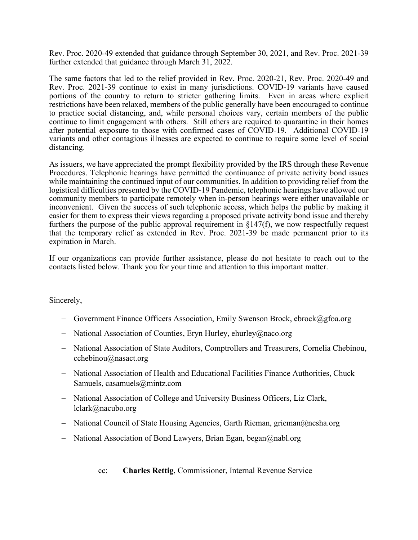Rev. Proc. 2020-49 extended that guidance through September 30, 2021, and Rev. Proc. 2021-39 further extended that guidance through March 31, 2022.

The same factors that led to the relief provided in Rev. Proc. 2020-21, Rev. Proc. 2020-49 and Rev. Proc. 2021-39 continue to exist in many jurisdictions. COVID-19 variants have caused portions of the country to return to stricter gathering limits. Even in areas where explicit restrictions have been relaxed, members of the public generally have been encouraged to continue to practice social distancing, and, while personal choices vary, certain members of the public continue to limit engagement with others. Still others are required to quarantine in their homes after potential exposure to those with confirmed cases of COVID-19. Additional COVID-19 variants and other contagious illnesses are expected to continue to require some level of social distancing.

As issuers, we have appreciated the prompt flexibility provided by the IRS through these Revenue Procedures. Telephonic hearings have permitted the continuance of private activity bond issues while maintaining the continued input of our communities. In addition to providing relief from the logistical difficulties presented by the COVID-19 Pandemic, telephonic hearings have allowed our community members to participate remotely when in-person hearings were either unavailable or inconvenient. Given the success of such telephonic access, which helps the public by making it easier for them to express their views regarding a proposed private activity bond issue and thereby furthers the purpose of the public approval requirement in §147(f), we now respectfully request that the temporary relief as extended in Rev. Proc. 2021-39 be made permanent prior to its expiration in March.

If our organizations can provide further assistance, please do not hesitate to reach out to the contacts listed below. Thank you for your time and attention to this important matter.

Sincerely,

- − Government Finance Officers Association, Emily Swenson Brock, ebrock@gfoa.org
- − National Association of Counties, Eryn Hurley, ehurley@naco.org
- − National Association of State Auditors, Comptrollers and Treasurers, Cornelia Chebinou, cchebinou@nasact.org
- − National Association of Health and Educational Facilities Finance Authorities, Chuck Samuels, casamuels@mintz.com
- − National Association of College and University Business Officers, Liz Clark, lclark@nacubo.org
- − National Council of State Housing Agencies, Garth Rieman, grieman@ncsha.org
- − National Association of Bond Lawyers, Brian Egan, began@nabl.org

cc: **Charles Rettig**, Commissioner, Internal Revenue Service